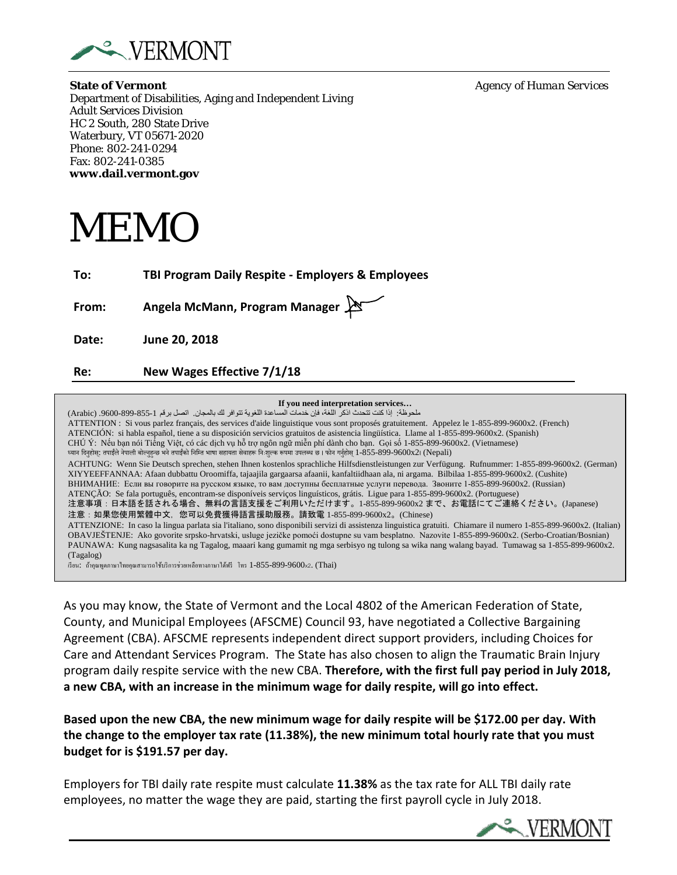

**State of Vermont** *Agency of Human Services* Department of Disabilities, Aging and Independent Living Adult Services Division HC 2 South, 280 State Drive Waterbury, VT 05671-2020 Phone: 802-241-0294 Fax: 802-241-0385 **www.dail.vermont.gov**

MEMO

**To: TBI Program Daily Respite - Employers & Employees**

**From: Angela McMann, Program Manager**

**Date: June 20, 2018**

**Re: New Wages Effective 7/1/18**

**If you need interpretation services…**

ملحوظة: إذا كنت تتحدث اذكر اللغة، فإن خدمات المساعدة اللغویة تتوافر لك بالمجان. اتصل برقم .9600-899-855-1 (Arabic( ATTENTION : Si vous parlez français, des services d'aide linguistique vous sont proposés gratuitement. Appelez le 1-855-899-9600x2. (French) ATENCIÓN: si habla español, tiene a su disposición servicios gratuitos de asistencia lingüística. Llame al 1-855-899-9600x2. (Spanish) CHÚ Ý: Nếu bạn nói Tiếng Việt, có các dịch vụ hỗ trợ ngôn ngữ miễn phí dành cho bạn. Gọi số 1-855-899-9600x2. (Vietnamese) ध्यान दिनुहोस्: तपाईंले नेपाली बोल्नुहुन्छ भने तपाईंको निम्ति भाषा सहायता सेवाहरू निःशुल्क रूपमा उपलब्ध छ। फोन गर्नुहोस् 1-855-899-9600x2। (Nepali) ACHTUNG: Wenn Sie Deutsch sprechen, stehen Ihnen kostenlos sprachliche Hilfsdienstleistungen zur Verfügung. Rufnummer: 1-855-899-9600x2. (German) XIYYEEFFANNAA: Afaan dubbattu Oroomiffa, tajaajila gargaarsa afaanii, kanfaltiidhaan ala, ni argama. Bilbilaa 1-855-899-9600x2. (Cushite) ВНИМАНИЕ: Если вы говорите на русском языке, то вам доступны бесплатные услуги перевода. Звоните 1-855-899-9600x2. (Russian) ATENÇÃO: Se fala português, encontram-se disponíveis serviços linguísticos, grátis. Ligue para 1-855-899-9600x2. (Portuguese) 注意事項:日本語を話される場合、無料の言語支援をご利用いただけます。1-855-899-9600x2 まで、お電話にてご連絡ください。(Japanese) 注意:如果您使用繁體中文,您可以免費獲得語言援助服務。請致電 1-855-899-9600x2。(Chinese) ATTENZIONE: In caso la lingua parlata sia l'italiano, sono disponibili servizi di assistenza linguistica gratuiti. Chiamare il numero 1-855-899-9600x2. (Italian) OBAVJEŠTENJE: Ako govorite srpsko-hrvatski, usluge jezičke pomoći dostupne su vam besplatno. Nazovite 1-855-899-9600x2. (Serbo-Croatian/Bosnian) PAUNAWA: Kung nagsasalita ka ng Tagalog, maaari kang gumamit ng mga serbisyo ng tulong sa wika nang walang bayad. Tumawag sa 1-855-899-9600x2. (Tagalog) เรียน: ถ้าคุณพูดภาษาไทยคุณสามารถใช้บริการช่วยเหลือทางภาษาได้ฟรี โทร 1-855-899-9600x2. (Thai)

As you may know, the State of Vermont and the Local 4802 of the American Federation of State, County, and Municipal Employees (AFSCME) Council 93, have negotiated a Collective Bargaining Agreement (CBA). AFSCME represents independent direct support providers, including Choices for Care and Attendant Services Program. The State has also chosen to align the Traumatic Brain Injury program daily respite service with the new CBA. **Therefore, with the first full pay period in July 2018, a new CBA, with an increase in the minimum wage for daily respite, will go into effect.** 

**Based upon the new CBA, the new minimum wage for daily respite will be \$172.00 per day. With the change to the employer tax rate (11.38%), the new minimum total hourly rate that you must budget for is \$191.57 per day.**

Employers for TBI daily rate respite must calculate **11.38%** as the tax rate for ALL TBI daily rate employees, no matter the wage they are paid, starting the first payroll cycle in July 2018.